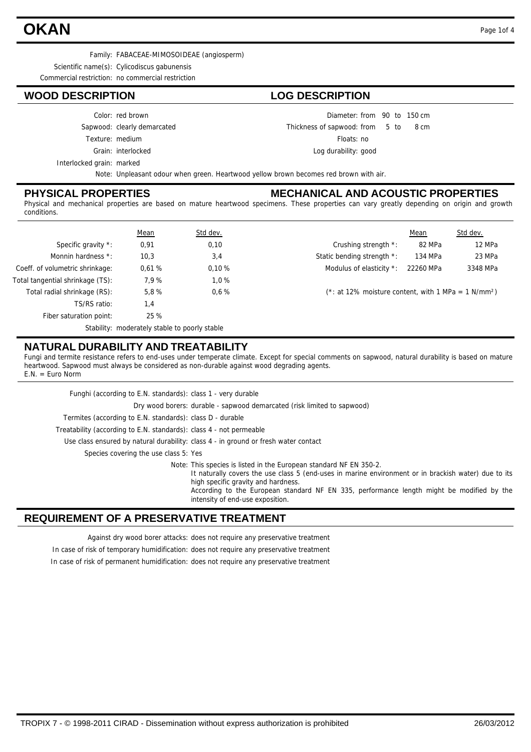# **OKAN** Page 1of 4

Family: FABACEAE-MIMOSOIDEAE (angiosperm)

Scientific name(s): Cylicodiscus gabunensis

Commercial restriction: no commercial restriction

### **WOOD DESCRIPTION LOG DESCRIPTION**

#### Color: red brown

Sapwood: clearly demarcated

- Texture: medium
	- Grain: interlocked
- 

Interlocked grain: marked

Diameter: from 90 to 150 cm

 $from 5 to 8 cm$ Thickness of sapwood:

Floats: no

Log durability: good

Note: Unpleasant odour when green. Heartwood yellow brown becomes red brown with air.

### **PHYSICAL PROPERTIES**

### **MECHANICAL AND ACOUSTIC PROPERTIES**

Physical and mechanical properties are based on mature heartwood specimens. These properties can vary greatly depending on origin and growth conditions.

|                                  | <b>Mean</b>                                   | Std dev. |                            | Mean                                                               | Std dev. |  |  |
|----------------------------------|-----------------------------------------------|----------|----------------------------|--------------------------------------------------------------------|----------|--|--|
| Specific gravity *:              | 0,91                                          | 0,10     | Crushing strength *:       | 82 MPa                                                             | 12 MPa   |  |  |
| Monnin hardness *:               | 10,3                                          | 3,4      | Static bending strength *: | 134 MPa                                                            | 23 MPa   |  |  |
| Coeff. of volumetric shrinkage:  | 0.61%                                         | 0.10%    | Modulus of elasticity *:   | 22260 MPa                                                          | 3348 MPa |  |  |
| Total tangential shrinkage (TS): | 7,9%                                          | 1.0%     |                            |                                                                    |          |  |  |
| Total radial shrinkage (RS):     | 5,8%                                          | 0.6%     |                            | $(*: at 12\%$ moisture content, with 1 MPa = 1 N/mm <sup>2</sup> ) |          |  |  |
| TS/RS ratio:                     | 1,4                                           |          |                            |                                                                    |          |  |  |
| Fiber saturation point:          | 25 %                                          |          |                            |                                                                    |          |  |  |
|                                  | Stability: moderately stable to poorly stable |          |                            |                                                                    |          |  |  |

### **NATURAL DURABILITY AND TREATABILITY**

Fungi and termite resistance refers to end-uses under temperate climate. Except for special comments on sapwood, natural durability is based on mature heartwood. Sapwood must always be considered as non-durable against wood degrading agents. E.N. = Euro Norm

| Funghi (according to E.N. standards): class 1 - very durable                                                                                                                                                                                                                                                                                       |
|----------------------------------------------------------------------------------------------------------------------------------------------------------------------------------------------------------------------------------------------------------------------------------------------------------------------------------------------------|
| Dry wood borers: durable - sapwood demarcated (risk limited to sapwood)                                                                                                                                                                                                                                                                            |
| Termites (according to E.N. standards): class D - durable                                                                                                                                                                                                                                                                                          |
| Treatability (according to E.N. standards): class 4 - not permeable                                                                                                                                                                                                                                                                                |
| Use class ensured by natural durability: class 4 - in ground or fresh water contact                                                                                                                                                                                                                                                                |
| Species covering the use class 5: Yes                                                                                                                                                                                                                                                                                                              |
| Note: This species is listed in the European standard NF EN 350-2.<br>It naturally covers the use class 5 (end-uses in marine environment or in brackish water) due to its<br>high specific gravity and hardness.<br>According to the European standard NF EN 335, performance length might be modified by the<br>intensity of end-use exposition. |

### **REQUIREMENT OF A PRESERVATIVE TREATMENT**

Against dry wood borer attacks: does not require any preservative treatment

In case of risk of temporary humidification: does not require any preservative treatment

In case of risk of permanent humidification: does not require any preservative treatment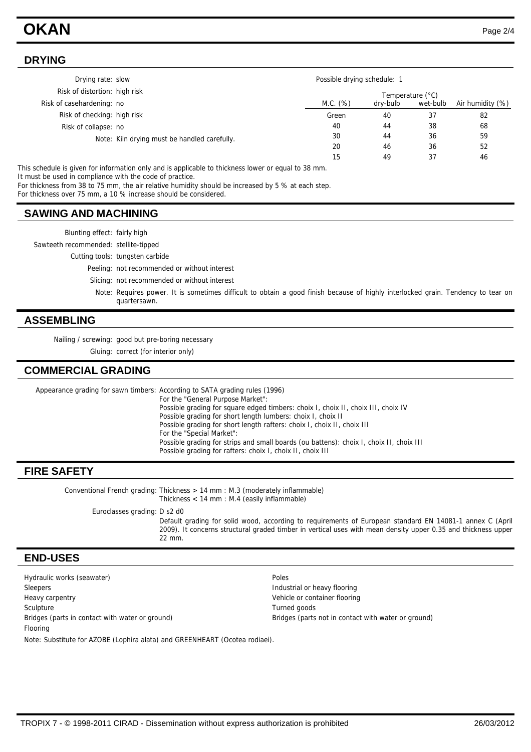## **OKAN** Page 2/4

### **DRYING**

| Drying rate: slow             |                                              |          | Possible drying schedule: 1 |          |                  |  |  |
|-------------------------------|----------------------------------------------|----------|-----------------------------|----------|------------------|--|--|
| Risk of distortion: high risk |                                              |          | Temperature (°C)            |          |                  |  |  |
| Risk of casehardening: no     |                                              | M.C. (%) | dry-bulb                    | wet-bulb | Air humidity (%) |  |  |
| Risk of checking: high risk   |                                              | Green    | 40                          | 37       | 82               |  |  |
| Risk of collapse: no          |                                              | 40       | 44                          | 38       | 68               |  |  |
|                               | Note: Kiln drying must be handled carefully. | 30       | 44                          | 36       | 59               |  |  |
|                               |                                              | 20       | 46                          | 36       | 52               |  |  |
|                               |                                              | 15       | 49                          | 37       | 46               |  |  |

This schedule is given for information only and is applicable to thickness lower or equal to 38 mm.

It must be used in compliance with the code of practice.

For thickness from 38 to 75 mm, the air relative humidity should be increased by 5 % at each step.

For thickness over 75 mm, a 10 % increase should be considered.

### **SAWING AND MACHINING**

Blunting effect: fairly high

Sawteeth recommended: stellite-tipped

Cutting tools: tungsten carbide

Peeling: not recommended or without interest

Slicing: not recommended or without interest

Note: Requires power. It is sometimes difficult to obtain a good finish because of highly interlocked grain. Tendency to tear on quartersawn.

### **ASSEMBLING**

Nailing / screwing: good but pre-boring necessary

Gluing: correct (for interior only)

### **COMMERCIAL GRADING**

Appearance grading for sawn timbers: According to SATA grading rules (1996) For the "General Purpose Market": Possible grading for square edged timbers: choix I, choix II, choix III, choix IV Possible grading for short length lumbers: choix I, choix II Possible grading for short length rafters: choix I, choix II, choix III For the "Special Market": Possible grading for strips and small boards (ou battens): choix I, choix II, choix III Possible grading for rafters: choix I, choix II, choix III

### **FIRE SAFETY**

Conventional French grading: Thickness  $> 14$  mm : M.3 (moderately inflammable) Thickness < 14 mm : M.4 (easily inflammable)

Euroclasses grading: D s2 d0

Default grading for solid wood, according to requirements of European standard EN 14081-1 annex C (April 2009). It concerns structural graded timber in vertical uses with mean density upper 0.35 and thickness upper 22 mm.

### **END-USES**

Hydraulic works (seawater) example and the poles of the Poles Sleepers Industrial or heavy flooring Sleepers Industrial or heavy flooring Heavy carpentry Vehicle or container flooring Sculpture Turned goods Bridges (parts in contact with water or ground) Bridges (parts not in contact with water or ground) Flooring Note: Substitute for AZOBE (Lophira alata) and GREENHEART (Ocotea rodiaei).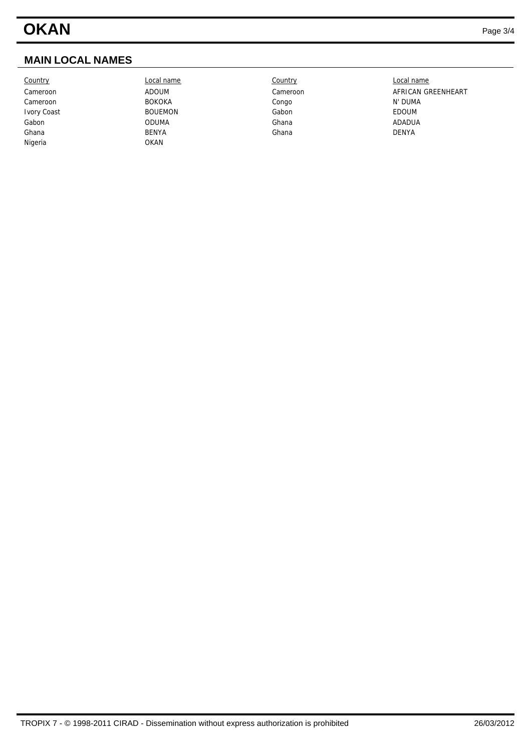### **MAIN LOCAL NAMES**

Country Local name Country Local name Cameroon BOKOKA Congo N' DUMA Ivory Coast **EDOUM** BOUEMON Gabon Gabon Gabon **EDOUM** Gabon ODUMA Ghana ADADUA Ghana BENYA Ghana DENYA Nigeria OKAN

Cameroon **Cameroon** ADOUM ADOUM Cameroon Cameroon AFRICAN GREENHEART